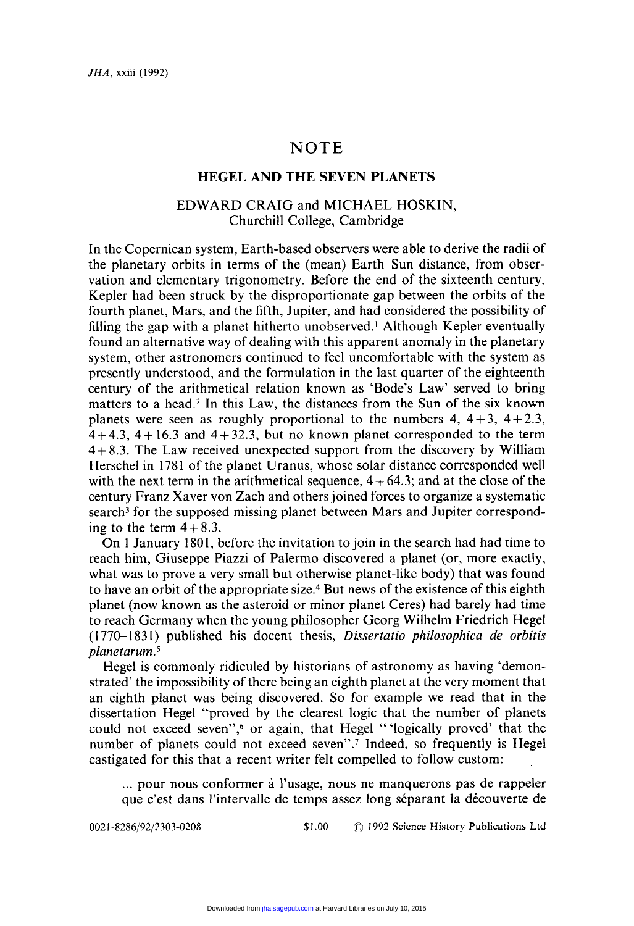# NOTE

### HEGEL AND **THE** SEVEN PLANETS

## EDWARD CRAIG and MICHAEL HOSKIN, Churchill College, Cambridge

In the Copernican system, Earth-based observers were able to derive the radii of the planetary orbits in terms of the (mean) Earth-Sun distance, from observation and elementary trigonometry. Before the end of the sixteenth century, Kepler had been struck by the disproportionate gap between the orbits of the fourth planet, Mars, and the fifth, Jupiter, and had considered the possibility of filling the gap with a planet hitherto unobserved.' Although Kepler eventually found an alternative way of dealing with this apparent anomaly in the planetary system, other astronomers continued to feel uncomfortable with the system as presently understood, and the formulation in the last quarter of the eighteenth century of the arithmetical relation known as 'Bode's Law' served to bring matters to a head.' In this Law, the distances from the Sun of the six known planets were seen as roughly proportional to the numbers 4,  $4+3$ ,  $4+2.3$ ,  $4+4.3$ ,  $4+16.3$  and  $4+32.3$ , but no known planet corresponded to the term 4+8.3. The Law received unexpected support from the discovery by William Herschel in 1781 of the planet Uranus, whose solar distance corresponded well with the next term in the arithmetical sequence,  $4+64.3$ ; and at the close of the century Franz Xaver von Zach and othersjoined forces to organize a systematic search<sup>3</sup> for the supposed missing planet between Mars and Jupiter corresponding to the term  $4+8.3$ .

On I January 1801, before the invitation to join in the search had had time to reach him, Giuseppe Piazzi of Palermo discovered a planet (or, more exactly, what was to prove a very small but otherwise planet-like body) that was found to have an orbit of the appropriate size.<sup>4</sup> But news of the existence of this eighth planet (now known as the asteroid or minor planet Ceres) had barely had time to reach Germany when the young philosopher Georg Wilhelm Friedrich Hegel (1770-1831) published his docent thesis, *Dissertatio philosophica de orbitis planetarum. <sup>5</sup>*

Hegel is commonly ridiculed by historians of astronomy as having 'demonstrated' the impossibility of there being an eighth planet at the very moment that an eighth planet was being discovered. So for example we read that in the dissertation Hegel "proved by the clearest logic that the number of planets could not exceed seven",<sup>6</sup> or again, that Hegel "'logically proved' that the number of planets could not exceed seven".<sup>7</sup> Indeed, so frequently is Hegel castigated for this that a recent writer felt compelled to follow custom:

... pour nous conformer à l'usage, nous ne manquerons pas de rappeler que c'est dans l'intervalle de temps assez long séparant la découverte de

0021-8286/92/2303-0208 \$1.00 © 1992 Science History Publications Ltd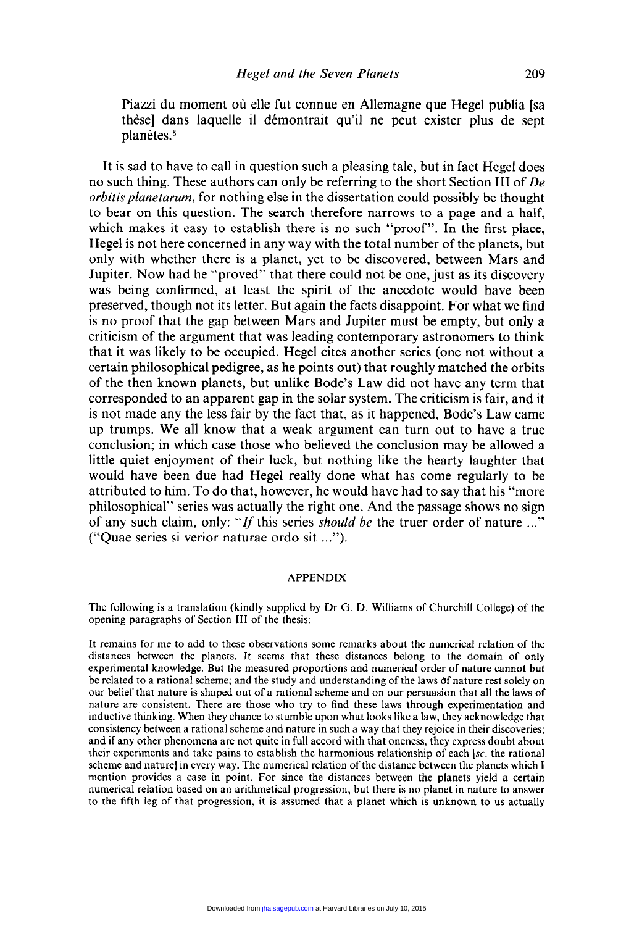Piazzi du moment où elle fut connue en Allemagne que Hegel publia [sa these] dans laquelle il demontrait qu'il ne peut exister plus de sept planètes.<sup>8</sup>

It is sad to have to call in question such a pleasing tale, but in fact Hegel does no such thing. These authors can only be referring to the short Section **III** of *De orbitis planetarum,* for nothing else in the dissertation could possibly be thought to bear on this question. The search therefore narrows to a page and a half, which makes it easy to establish there is no such "proof". In the first place, Hegel is not here concerned in any way with the total number of the planets, but only with whether there is a planet, yet to be discovered, between Mars and Jupiter. Now had he "proved" that there could not be one, just as its discovery was being confirmed, at least the spirit of the anecdote would have been preserved, though not its letter. But again the facts disappoint. For what we find is no proof that the gap between Mars and Jupiter must be empty, but only a criticism of the argument that was leading contemporary astronomers to think that it was likely to be occupied. Hegel cites another series (one not without a certain philosophical pedigree, as he points out) that roughly matched the orbits of the then known planets, but unlike Bode's Law did not have any term that corresponded to an apparent gap in the solar system. The criticism is fair, and it is not made any the less fair by the fact that, as it happened, Bode's Law came up trumps. We all know that a weak argument can turn out to have a true conclusion; in which case those who believed the conclusion may be allowed a little quiet enjoyment of their luck, but nothing like the hearty laughter that would have been due had Hegel really done what has come regularly to be attributed to him. To do that, however, he would have had to say that his "more philosophical" series was actually the right one. And the passage shows no sign of any such claim, only: "if this series *should be* the truer order of nature ..." ("Quae series si verior naturae ordo sit ...").

### APPENDIX

The following is a translation (kindly supplied by Dr G. D. Williams of Churchill College) of the opening paragraphs of Section III of the thesis:

It remains for me to add to these observations some remarks about the numerical relation of the distances between the planets. It seems that these distances belong to the domain of only experimental knowledge. But the measured proportions and numerical order of nature cannot but be related to a rational scheme; and the study and understanding of the laws of nature rest solely on our belief that nature is shaped out of a rational scheme and on our persuasion that all the laws of nature are consistent. There are those who try to find these laws through experimentation and inductive thinking. When they chance to stumble upon what looks like a law, they acknowledge that consistency between a rational scheme and nature in such a way that they rejoice in their discoveries; and if any other phenomena are not quite in full accord with that oneness, they express doubt about their experiments and take pains to establish the harmonious relationship of each [sc. the rational scheme and nature] in every way. The numerical relation of the distance between the planets which I mention provides a case in point. For since the distances between the planets yield a certain numerical relation based on an arithmetical progression, but there is no planet in nature to answer to the fifth leg of that progression, it is assumed that a planet which is unknown to us actually